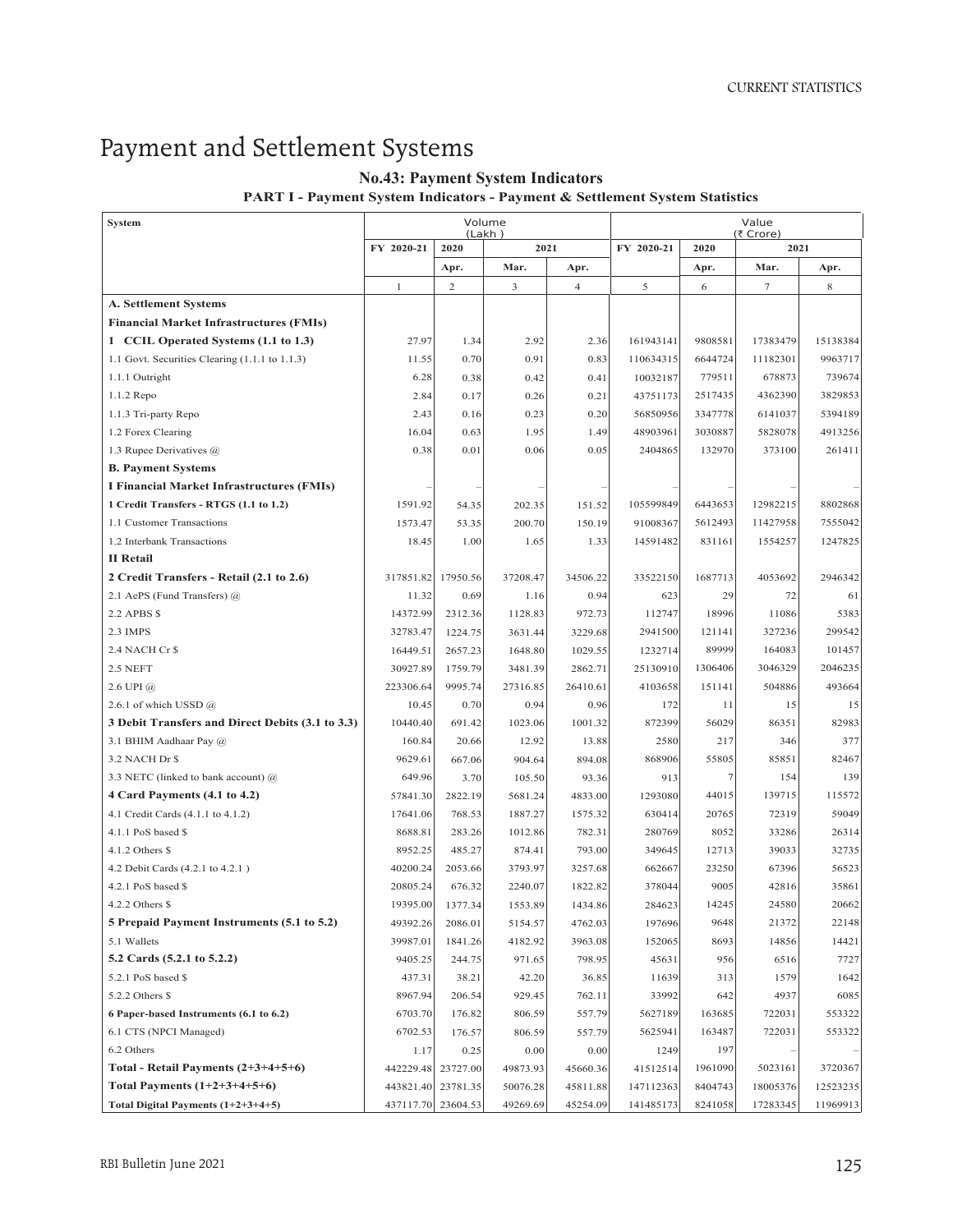## Payment and Settlement Systems

## **No.43: Payment System Indicators**

**PART I - Payment System Indicators - Payment & Settlement System Statistics**

| <b>System</b>                                    | Volume<br>(Lakh) |                |          |                | Value                                   |         |          |          |
|--------------------------------------------------|------------------|----------------|----------|----------------|-----------------------------------------|---------|----------|----------|
|                                                  | FY 2020-21       | 2020           | 2021     |                | (₹ Crore)<br>FY 2020-21<br>2021<br>2020 |         |          |          |
|                                                  |                  | Apr.           | Mar.     | Apr.           |                                         | Apr.    | Mar.     | Apr.     |
|                                                  | $\mathbf{1}$     | $\overline{c}$ | 3        | $\overline{4}$ | 5                                       | 6       | $\tau$   | 8        |
| <b>A. Settlement Systems</b>                     |                  |                |          |                |                                         |         |          |          |
| <b>Financial Market Infrastructures (FMIs)</b>   |                  |                |          |                |                                         |         |          |          |
| 1 CCIL Operated Systems (1.1 to 1.3)             | 27.97            | 1.34           | 2.92     | 2.36           | 161943141                               | 9808581 | 17383479 | 15138384 |
| 1.1 Govt. Securities Clearing (1.1.1 to 1.1.3)   | 11.55            | 0.70           | 0.91     | 0.83           | 110634315                               | 6644724 | 11182301 | 9963717  |
| 1.1.1 Outright                                   | 6.28             | 0.38           | 0.42     | 0.41           | 10032187                                | 779511  | 678873   | 739674   |
| 1.1.2 Repo                                       | 2.84             | 0.17           | 0.26     | 0.21           | 43751173                                | 2517435 | 4362390  | 3829853  |
| 1.1.3 Tri-party Repo                             | 2.43             | 0.16           | 0.23     | 0.20           | 56850956                                | 3347778 | 6141037  | 5394189  |
| 1.2 Forex Clearing                               | 16.04            | 0.63           | 1.95     | 1.49           | 48903961                                | 3030887 | 5828078  | 4913256  |
| 1.3 Rupee Derivatives $(a)$                      | 0.38             | 0.01           | 0.06     | 0.05           | 2404865                                 | 132970  | 373100   | 261411   |
| <b>B. Payment Systems</b>                        |                  |                |          |                |                                         |         |          |          |
| I Financial Market Infrastructures (FMIs)        |                  |                |          |                |                                         |         |          |          |
| 1 Credit Transfers - RTGS (1.1 to 1.2)           | 1591.92          | 54.35          | 202.35   | 151.52         | 105599849                               | 6443653 | 12982215 | 8802868  |
| 1.1 Customer Transactions                        | 1573.47          | 53.35          | 200.70   | 150.19         | 91008367                                | 5612493 | 11427958 | 7555042  |
| 1.2 Interbank Transactions                       | 18.45            | 1.00           | 1.65     | 1.33           | 14591482                                | 831161  | 1554257  | 1247825  |
| <b>II</b> Retail                                 |                  |                |          |                |                                         |         |          |          |
| 2 Credit Transfers - Retail (2.1 to 2.6)         | 317851.82        | 17950.56       | 37208.47 | 34506.22       | 33522150                                | 1687713 | 4053692  | 2946342  |
| 2.1 AePS (Fund Transfers) @                      | 11.32            | 0.69           | 1.16     | 0.94           | 623                                     | 29      | 72       | 61       |
| 2.2 APBS \$                                      | 14372.99         | 2312.36        | 1128.83  | 972.73         | 112747                                  | 18996   | 11086    | 5383     |
| 2.3 IMPS                                         | 32783.47         | 1224.75        | 3631.44  | 3229.68        | 2941500                                 | 121141  | 327236   | 299542   |
| 2.4 NACH Cr \$                                   | 16449.51         | 2657.23        | 1648.80  | 1029.55        | 1232714                                 | 89999   | 164083   | 101457   |
| 2.5 NEFT                                         | 30927.89         | 1759.79        | 3481.39  | 2862.71        | 25130910                                | 1306406 | 3046329  | 2046235  |
| $2.6$ UPI $(a)$                                  | 223306.64        | 9995.74        | 27316.85 | 26410.61       | 4103658                                 | 151141  | 504886   | 493664   |
| 2.6.1 of which USSD $@$                          | 10.45            | 0.70           | 0.94     | 0.96           | 172                                     | 11      | 15       | 15       |
| 3 Debit Transfers and Direct Debits (3.1 to 3.3) | 10440.40         | 691.42         | 1023.06  | 1001.32        | 872399                                  | 56029   | 86351    | 82983    |
| 3.1 BHIM Aadhaar Pay @                           | 160.84           | 20.66          | 12.92    | 13.88          | 2580                                    | 217     | 346      | 377      |
| 3.2 NACH Dr \$                                   | 9629.61          | 667.06         | 904.64   | 894.08         | 868906                                  | 55805   | 85851    | 82467    |
| 3.3 NETC (linked to bank account) $(a)$          | 649.96           | 3.70           | 105.50   | 93.36          | 913                                     | 7       | 154      | 139      |
| 4 Card Payments (4.1 to 4.2)                     | 57841.30         | 2822.19        | 5681.24  | 4833.00        | 1293080                                 | 44015   | 139715   | 115572   |
| 4.1 Credit Cards (4.1.1 to 4.1.2)                | 17641.06         | 768.53         | 1887.27  | 1575.32        | 630414                                  | 20765   | 72319    | 59049    |
| $4.1.1$ PoS based \$                             | 8688.81          | 283.26         | 1012.86  | 782.31         | 280769                                  | 8052    | 33286    | 26314    |
| $4.1.2$ Others \$                                | 8952.25          | 485.27         | 874.41   | 793.00         | 349645                                  | 12713   | 39033    | 32735    |
| 4.2 Debit Cards (4.2.1 to 4.2.1)                 | 40200.24         | 2053.66        | 3793.97  | 3257.68        | 662667                                  | 23250   | 67396    | 56523    |
| 4.2.1 PoS based \$                               | 20805.24         | 676.32         | 2240.07  | 1822.82        | 378044                                  | 9005    | 42816    | 35861    |
| $4.2.2$ Others \$                                | 19395.00         | 1377.34        | 1553.89  | 1434.86        | 284623                                  | 14245   | 24580    | 20662    |
| 5 Prepaid Payment Instruments (5.1 to 5.2)       | 49392.26         | 2086.01        | 5154.57  | 4762.03        | 197696                                  | 9648    | 21372    | 22148    |
| 5.1 Wallets                                      | 39987.01         | 1841.26        | 4182.92  | 3963.08        | 152065                                  | 8693    | 14856    | 14421    |
| 5.2 Cards (5.2.1 to 5.2.2)                       | 9405.25          | 244.75         | 971.65   | 798.95         | 45631                                   | 956     | 6516     | 7727     |
| 5.2.1 PoS based \$                               | 437.31           | 38.21          | 42.20    | 36.85          | 11639                                   | 313     | 1579     | 1642     |
| 5.2.2 Others \$                                  | 8967.94          | 206.54         | 929.45   | 762.11         | 33992                                   | 642     | 4937     | 6085     |
| 6 Paper-based Instruments (6.1 to 6.2)           | 6703.70          | 176.82         | 806.59   | 557.79         | 5627189                                 | 163685  | 722031   | 553322   |
| 6.1 CTS (NPCI Managed)                           | 6702.53          | 176.57         | 806.59   | 557.79         | 5625941                                 | 163487  | 722031   | 553322   |
| 6.2 Others                                       | 1.17             | 0.25           | 0.00     | 0.00           | 1249                                    | 197     |          |          |
| Total - Retail Payments $(2+3+4+5+6)$            | 442229.48        | 23727.00       | 49873.93 | 45660.36       | 41512514                                | 1961090 | 5023161  | 3720367  |
| Total Payments $(1+2+3+4+5+6)$                   | 443821.40        | 23781.35       | 50076.28 | 45811.88       | 147112363                               | 8404743 | 18005376 | 12523235 |
| Total Digital Payments $(1+2+3+4+5)$             | 437117.70        | 23604.53       | 49269.69 | 45254.09       | 141485173                               | 8241058 | 17283345 | 11969913 |